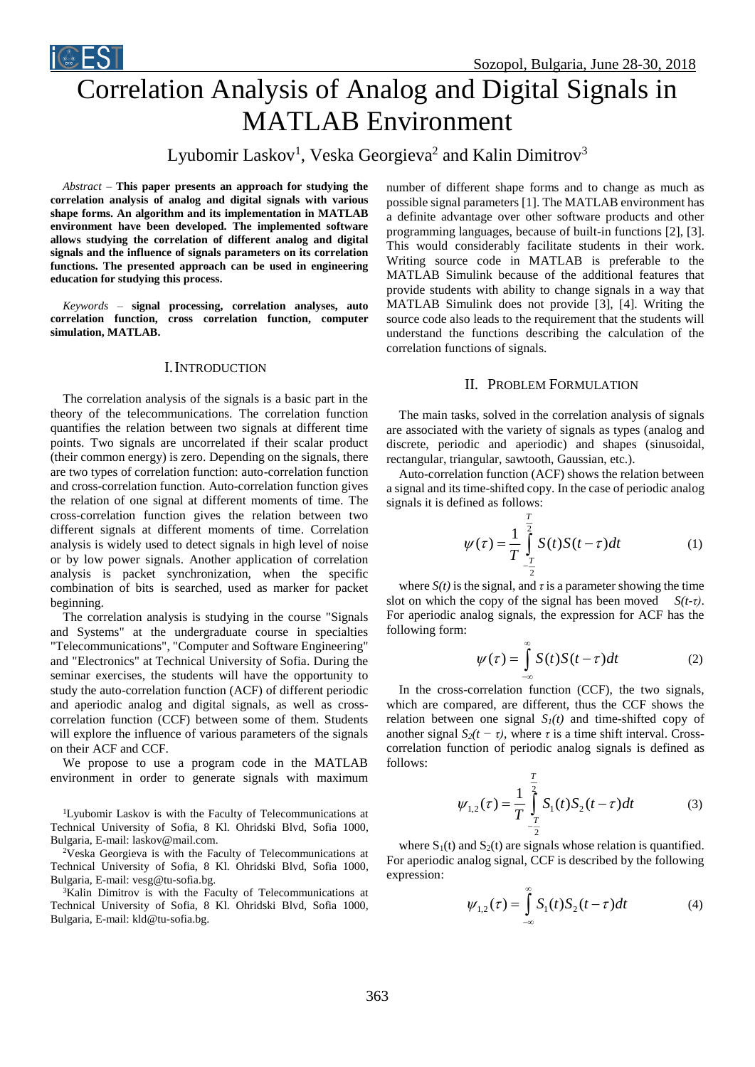



# Correlation Analysis of Analog and Digital Signals in MATLAB Environment

Lyubomir Laskov<sup>1</sup>, Veska Georgieva<sup>2</sup> and Kalin Dimitrov<sup>3</sup>

*Abstract –* **This paper presents an approach for studying the correlation analysis of analog and digital signals with various shape forms. An algorithm and its implementation in MATLAB environment have been developed. The implemented software allows studying the correlation of different analog and digital signals and the influence of signals parameters on its correlation functions. The presented approach can be used in engineering education for studying this process.**

*Keywords –* **signal processing, correlation analyses, auto correlation function, cross correlation function, computer simulation, MATLAB.**

## I.INTRODUCTION

The correlation analysis of the signals is a basic part in the theory of the telecommunications. The correlation function quantifies the relation between two signals at different time points. Two signals are uncorrelated if their scalar product (their common energy) is zero. Depending on the signals, there are two types of correlation function: auto-correlation function and cross-correlation function. Auto-correlation function gives the relation of one signal at different moments of time. The cross-correlation function gives the relation between two different signals at different moments of time. Correlation analysis is widely used to detect signals in high level of noise or by low power signals. Another application of correlation analysis is packet synchronization, when the specific combination of bits is searched, used as marker for packet beginning.

The correlation analysis is studying in the course "Signals and Systems" at the undergraduate course in specialties "Telecommunications", "Computer and Software Engineering" and "Electronics" at Technical University of Sofia. During the seminar exercises, the students will have the opportunity to study the auto-correlation function (ACF) of different periodic and aperiodic analog and digital signals, as well as crosscorrelation function (CCF) between some of them. Students will explore the influence of various parameters of the signals on their ACF and CCF.

We propose to use a program code in the MATLAB environment in order to generate signals with maximum

<sup>1</sup>Lyubomir Laskov is with the Faculty of Telecommunications at Technical University of Sofia, 8 Kl. Ohridski Blvd, Sofia 1000, Bulgaria, E-mail: laskov@mail.com.

 $2V$ eska Georgieva is with the Faculty of Telecommunications at Technical University of Sofia, 8 Kl. Ohridski Blvd, Sofia 1000, Bulgaria, E-mail: vesg@tu-sofia.bg.

<sup>3</sup>Kalin Dimitrov is with the Faculty of Telecommunications at Technical University of Sofia, 8 Kl. Ohridski Blvd, Sofia 1000, Bulgaria, E-mail: kld@tu-sofia.bg.

number of different shape forms and to change as much as possible signal parameters [1]. The MATLAB environment has a definite advantage over other software products and other programming languages, because of built-in functions [2], [3]. This would considerably facilitate students in their work. Writing source code in MATLAB is preferable to the MATLAB Simulink because of the additional features that provide students with ability to change signals in a way that MATLAB Simulink does not provide [3], [4]. Writing the source code also leads to the requirement that the students will understand the functions describing the calculation of the correlation functions of signals.

### II. PROBLEM FORMULATION

The main tasks, solved in the correlation analysis of signals are associated with the variety of signals as types (analog and discrete, periodic and aperiodic) and shapes (sinusoidal, rectangular, triangular, sawtooth, Gaussian, etc.).

Auto-correlation function (ACF) shows the relation between a signal and its time-shifted copy. In the case of periodic analog signals it is defined as follows:

$$
\psi(\tau) = \frac{1}{T} \int_{-\frac{T}{2}}^{\frac{T}{2}} S(t)S(t-\tau)dt
$$
 (1)

where  $S(t)$  is the signal, and  $\tau$  is a parameter showing the time slot on which the copy of the signal has been moved *S(t-τ)*. For aperiodic analog signals, the expression for ACF has the following form:

$$
\psi(\tau) = \int_{-\infty}^{\infty} S(t)S(t-\tau)dt
$$
 (2)

In the cross-correlation function (CCF), the two signals, which are compared, are different, thus the CCF shows the relation between one signal  $S_I(t)$  and time-shifted copy of another signal  $S_2(t - \tau)$ , where  $\tau$  is a time shift interval. Crosscorrelation function of periodic analog signals is defined as follows:

$$
\psi_{1,2}(\tau) = \frac{1}{T} \int_{-\frac{T}{2}}^{\frac{T}{2}} S_1(t) S_2(t-\tau) dt
$$
 (3)

where  $S_1(t)$  and  $S_2(t)$  are signals whose relation is quantified. For aperiodic analog signal, CCF is described by the following expression:

$$
\psi_{1,2}(\tau) = \int_{-\infty}^{\infty} S_1(t) S_2(t - \tau) dt \tag{4}
$$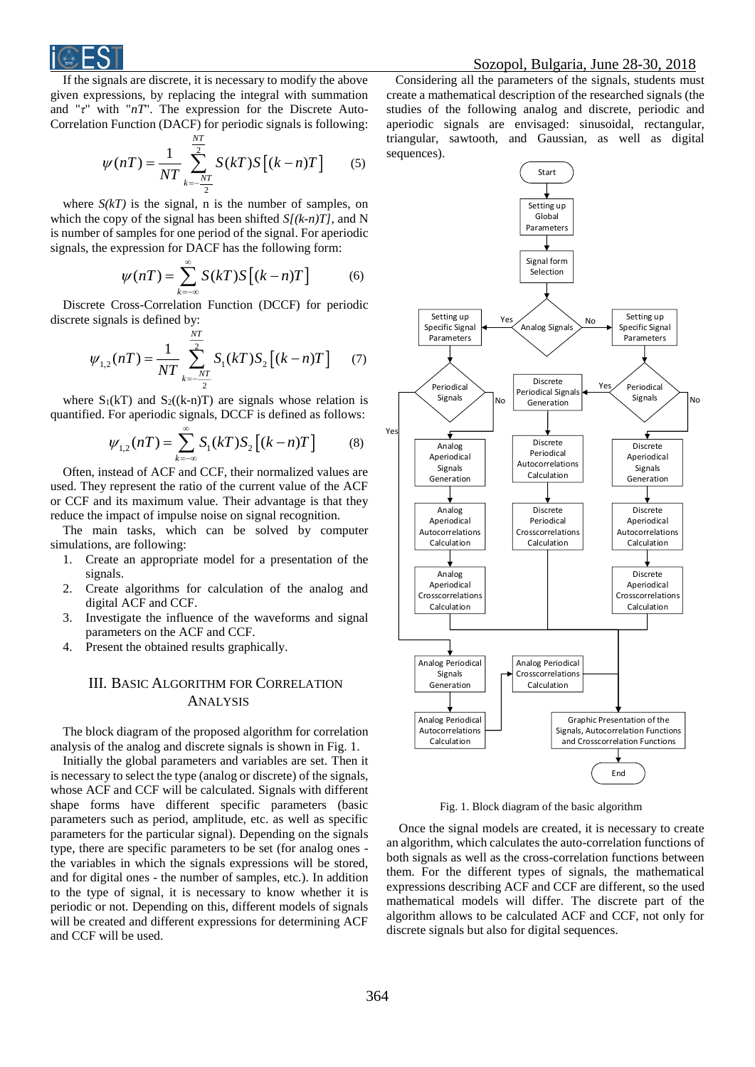

If the signals are discrete, it is necessary to modify the above given expressions, by replacing the integral with summation and "*τ*" with "*nT*". The expression for the Discrete Auto-Correlation Function (DACF) for periodic signals is following:

$$
\psi(nT) = \frac{1}{NT} \sum_{k=-\frac{NT}{2}}^{\frac{NT}{2}} S(kT)S[(k-n)T]
$$
 (5)

where  $S(kT)$  is the signal, n is the number of samples, on which the copy of the signal has been shifted *S[(k-n)T]*, and N is number of samples for one period of the signal. For aperiodic signals, the expression for DACF has the following form:

$$
\psi(nT) = \sum_{k=-\infty}^{\infty} S(kT)S[(k-n)T]
$$
 (6)

Discrete Cross-Correlation Function (DCCF) for periodic discrete signals is defined by:

$$
\psi_{1,2}(nT) = \frac{1}{NT} \sum_{k=-\frac{NT}{2}}^{\frac{NT}{2}} S_1(kT) S_2 [(k-n)T]
$$
 (7)

where  $S_1(kT)$  and  $S_2((k-n)T)$  are signals whose relation is quantified. For aperiodic signals, DCCF is defined as follows:

$$
\psi_{1,2}(nT) = \sum_{k=-\infty}^{\infty} S_1(kT) S_2 [(k-n)T]
$$
 (8)

Often, instead of ACF and CCF, their normalized values are used. They represent the ratio of the current value of the ACF or CCF and its maximum value. Their advantage is that they reduce the impact of impulse noise on signal recognition.

The main tasks, which can be solved by computer simulations, are following:

- 1. Create an appropriate model for a presentation of the signals.
- 2. Create algorithms for calculation of the analog and digital ACF and CCF.
- 3. Investigate the influence of the waveforms and signal parameters on the ACF and CCF.
- 4. Present the obtained results graphically.

# III. BASIC ALGORITHM FOR CORRELATION ANALYSIS

The block diagram of the proposed algorithm for correlation analysis of the analog and discrete signals is shown in Fig. 1.

Initially the global parameters and variables are set. Then it is necessary to select the type (analog or discrete) of the signals, whose ACF and CCF will be calculated. Signals with different shape forms have different specific parameters (basic parameters such as period, amplitude, etc. as well as specific parameters for the particular signal). Depending on the signals type, there are specific parameters to be set (for analog ones the variables in which the signals expressions will be stored, and for digital ones - the number of samples, etc.). In addition to the type of signal, it is necessary to know whether it is periodic or not. Depending on this, different models of signals will be created and different expressions for determining ACF and CCF will be used.

Considering all the parameters of the signals, students must create a mathematical description of the researched signals (the studies of the following analog and discrete, periodic and aperiodic signals are envisaged: sinusoidal, rectangular, triangular, sawtooth, and Gaussian, as well as digital sequences).



Fig. 1. Block diagram of the basic algorithm

Once the signal models are created, it is necessary to create an algorithm, which calculates the auto-correlation functions of both signals as well as the cross-correlation functions between them. For the different types of signals, the mathematical expressions describing ACF and CCF are different, so the used mathematical models will differ. The discrete part of the algorithm allows to be calculated ACF and CCF, not only for discrete signals but also for digital sequences.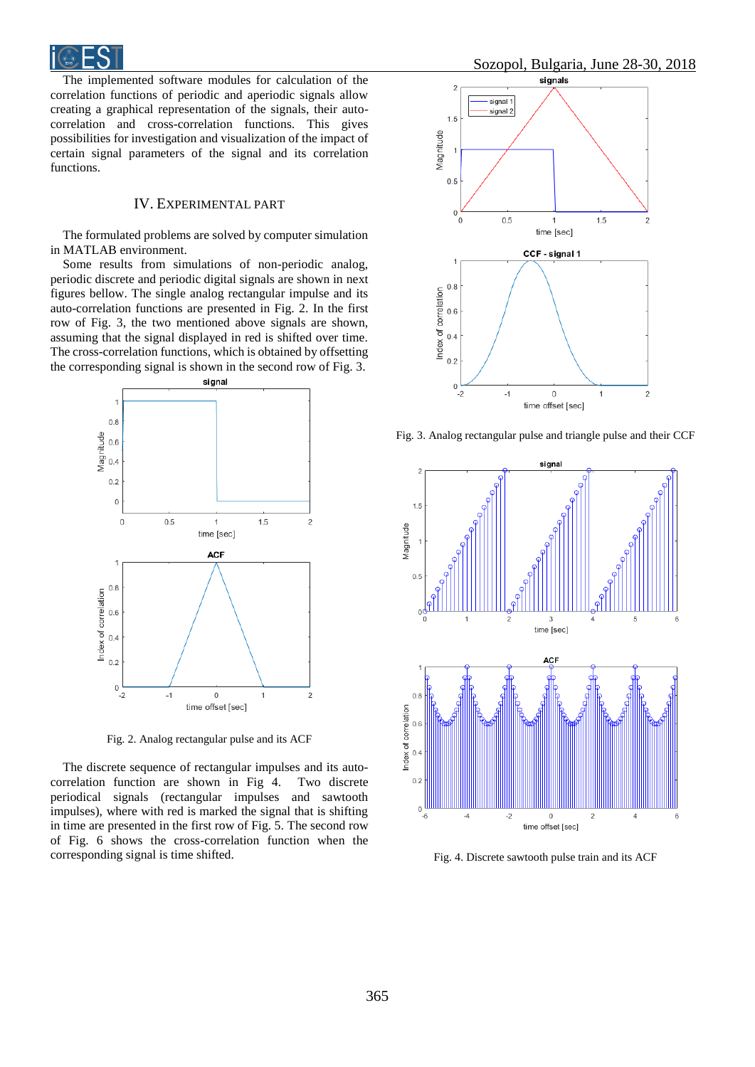

The implemented software modules for calculation of the correlation functions of periodic and aperiodic signals allow creating a graphical representation of the signals, their autocorrelation and cross-correlation functions. This gives possibilities for investigation and visualization of the impact of certain signal parameters of the signal and its correlation functions.

# IV. EXPERIMENTAL PART

The formulated problems are solved by computer simulation in MATLAB environment.

Some results from simulations of non-periodic analog, periodic discrete and periodic digital signals are shown in next figures bellow. The single analog rectangular impulse and its auto-correlation functions are presented in Fig. 2. In the first row of Fig. 3, the two mentioned above signals are shown, assuming that the signal displayed in red is shifted over time. The cross-correlation functions, which is obtained by offsetting the corresponding signal is shown in the second row of Fig. 3.



Fig. 2. Analog rectangular pulse and its ACF

The discrete sequence of rectangular impulses and its autocorrelation function are shown in Fig 4. Two discrete periodical signals (rectangular impulses and sawtooth impulses), where with red is marked the signal that is shifting in time are presented in the first row of Fig. 5. The second row of Fig. 6 shows the cross-correlation function when the corresponding signal is time shifted.



Fig. 3. Analog rectangular pulse and triangle pulse and their CCF



Fig. 4. Discrete sawtooth pulse train and its ACF